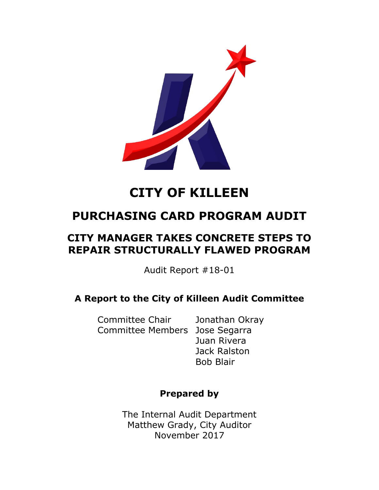

# **CITY OF KILLEEN**

# **PURCHASING CARD PROGRAM AUDIT**

# **CITY MANAGER TAKES CONCRETE STEPS TO REPAIR STRUCTURALLY FLAWED PROGRAM**

Audit Report #18-01

## **A Report to the City of Killeen Audit Committee**

Committee Chair Jonathan Okray Committee Members Jose Segarra

Juan Rivera Jack Ralston Bob Blair

### **Prepared by**

The Internal Audit Department Matthew Grady, City Auditor November 2017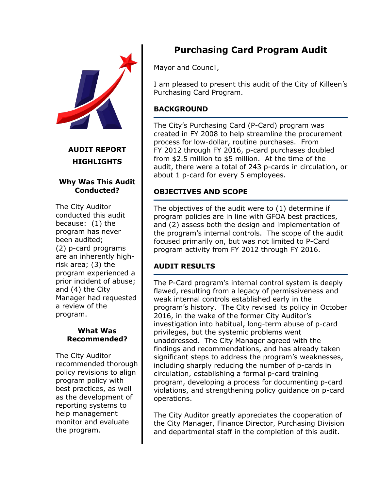

#### **AUDIT REPORT HIGHLIGHTS**

#### **Why Was This Audit Conducted?**

The City Auditor conducted this audit because: (1) the program has never been audited; (2) p-card programs are an inherently highrisk area; (3) the program experienced a prior incident of abuse; and (4) the City Manager had requested a review of the program.

#### **What Was Recommended?**

The City Auditor recommended thorough policy revisions to align program policy with best practices, as well as the development of reporting systems to help management monitor and evaluate the program.

# **Purchasing Card Program Audit**

Mayor and Council,

I am pleased to present this audit of the City of Killeen's Purchasing Card Program.

#### **BACKGROUND**

The City's Purchasing Card (P-Card) program was created in FY 2008 to help streamline the procurement process for low-dollar, routine purchases. From FY 2012 through FY 2016, p-card purchases doubled from \$2.5 million to \$5 million. At the time of the audit, there were a total of 243 p-cards in circulation, or about 1 p-card for every 5 employees.

#### **OBJECTIVES AND SCOPE**

The objectives of the audit were to (1) determine if program policies are in line with GFOA best practices, and (2) assess both the design and implementation of the program's internal controls. The scope of the audit focused primarily on, but was not limited to P-Card program activity from FY 2012 through FY 2016.

#### **AUDIT RESULTS**

The P-Card program's internal control system is deeply flawed, resulting from a legacy of permissiveness and weak internal controls established early in the program's history. The City revised its policy in October 2016, in the wake of the former City Auditor's investigation into habitual, long-term abuse of p-card privileges, but the systemic problems went unaddressed. The City Manager agreed with the findings and recommendations, and has already taken significant steps to address the program's weaknesses, including sharply reducing the number of p-cards in circulation, establishing a formal p-card training program, developing a process for documenting p-card violations, and strengthening policy guidance on p-card operations.

The City Auditor greatly appreciates the cooperation of the City Manager, Finance Director, Purchasing Division and departmental staff in the completion of this audit.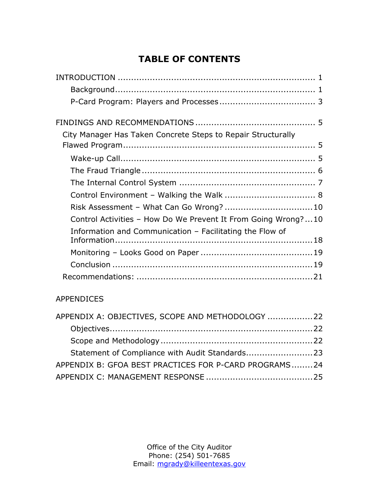# **TABLE OF CONTENTS**

| City Manager Has Taken Concrete Steps to Repair Structurally  |  |
|---------------------------------------------------------------|--|
|                                                               |  |
|                                                               |  |
|                                                               |  |
|                                                               |  |
|                                                               |  |
| Risk Assessment - What Can Go Wrong?  10                      |  |
| Control Activities - How Do We Prevent It From Going Wrong?10 |  |
| Information and Communication - Facilitating the Flow of      |  |
|                                                               |  |
|                                                               |  |
|                                                               |  |
|                                                               |  |

#### APPENDICES

| APPENDIX A: OBJECTIVES, SCOPE AND METHODOLOGY 22      |  |
|-------------------------------------------------------|--|
|                                                       |  |
|                                                       |  |
| Statement of Compliance with Audit Standards23        |  |
| APPENDIX B: GFOA BEST PRACTICES FOR P-CARD PROGRAMS24 |  |
|                                                       |  |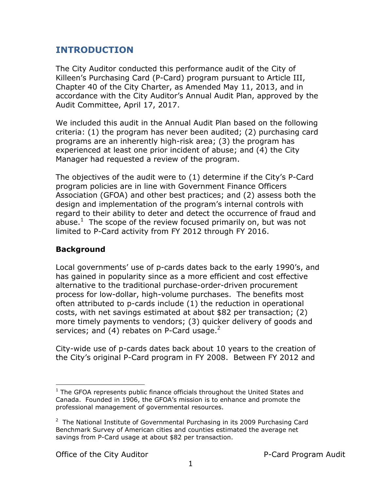### <span id="page-3-0"></span>**INTRODUCTION**

The City Auditor conducted this performance audit of the City of Killeen's Purchasing Card (P-Card) program pursuant to Article III, Chapter 40 of the City Charter, as Amended May 11, 2013, and in accordance with the City Auditor's Annual Audit Plan, approved by the Audit Committee, April 17, 2017.

We included this audit in the Annual Audit Plan based on the following criteria: (1) the program has never been audited; (2) purchasing card programs are an inherently high-risk area; (3) the program has experienced at least one prior incident of abuse; and (4) the City Manager had requested a review of the program.

The objectives of the audit were to (1) determine if the City's P-Card program policies are in line with Government Finance Officers Association (GFOA) and other best practices; and (2) assess both the design and implementation of the program's internal controls with regard to their ability to deter and detect the occurrence of fraud and abuse. $<sup>1</sup>$  The scope of the review focused primarily on, but was not</sup> limited to P-Card activity from FY 2012 through FY 2016.

#### <span id="page-3-1"></span>**Background**

 $\overline{a}$ 

Local governments' use of p-cards dates back to the early 1990's, and has gained in popularity since as a more efficient and cost effective alternative to the traditional purchase-order-driven procurement process for low-dollar, high-volume purchases. The benefits most often attributed to p-cards include (1) the reduction in operational costs, with net savings estimated at about \$82 per transaction; (2) more timely payments to vendors; (3) quicker delivery of goods and services; and (4) rebates on P-Card usage. $2$ 

City-wide use of p-cards dates back about 10 years to the creation of the City's original P-Card program in FY 2008. Between FY 2012 and

 $<sup>1</sup>$  The GFOA represents public finance officials throughout the United States and</sup> Canada. Founded in 1906, the GFOA's mission is to enhance and promote the professional management of governmental resources.

<sup>&</sup>lt;sup>2</sup> The National Institute of Governmental Purchasing in its 2009 Purchasing Card Benchmark Survey of American cities and counties estimated the average net savings from P-Card usage at about \$82 per transaction.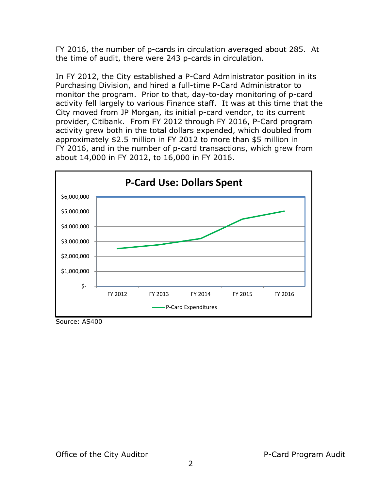FY 2016, the number of p-cards in circulation averaged about 285. At the time of audit, there were 243 p-cards in circulation.

In FY 2012, the City established a P-Card Administrator position in its Purchasing Division, and hired a full-time P-Card Administrator to monitor the program. Prior to that, day-to-day monitoring of p-card activity fell largely to various Finance staff. It was at this time that the City moved from JP Morgan, its initial p-card vendor, to its current provider, Citibank. From FY 2012 through FY 2016, P-Card program activity grew both in the total dollars expended, which doubled from approximately \$2.5 million in FY 2012 to more than \$5 million in FY 2016, and in the number of p-card transactions, which grew from about 14,000 in FY 2012, to 16,000 in FY 2016.



Source: AS400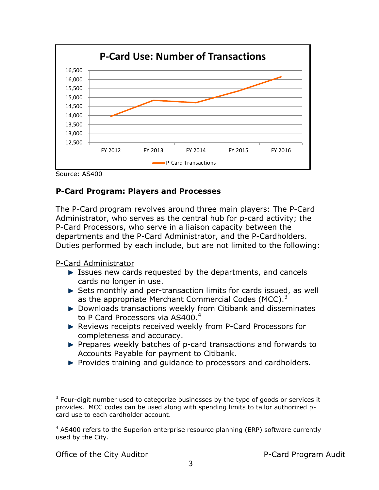

Source: AS400

#### <span id="page-5-0"></span>**P-Card Program: Players and Processes**

The P-Card program revolves around three main players: The P-Card Administrator, who serves as the central hub for p-card activity; the P-Card Processors, who serve in a liaison capacity between the departments and the P-Card Administrator, and the P-Cardholders. Duties performed by each include, but are not limited to the following:

P-Card Administrator

- Issues new cards requested by the departments, and cancels cards no longer in use.
- ▶ Sets monthly and per-transaction limits for cards issued, as well as the appropriate Merchant Commercial Codes (MCC).<sup>3</sup>
- ▶ Downloads transactions weekly from Citibank and disseminates to P Card Processors via AS400.<sup>4</sup>
- ▶ Reviews receipts received weekly from P-Card Processors for completeness and accuracy.
- Prepares weekly batches of p-card transactions and forwards to Accounts Payable for payment to Citibank.
- $\blacktriangleright$  Provides training and guidance to processors and cardholders.

 $\overline{a}$ 

 $3$  Four-digit number used to categorize businesses by the type of goods or services it provides. MCC codes can be used along with spending limits to tailor authorized pcard use to each cardholder account.

 $4$  AS400 refers to the Superion enterprise resource planning (ERP) software currently used by the City.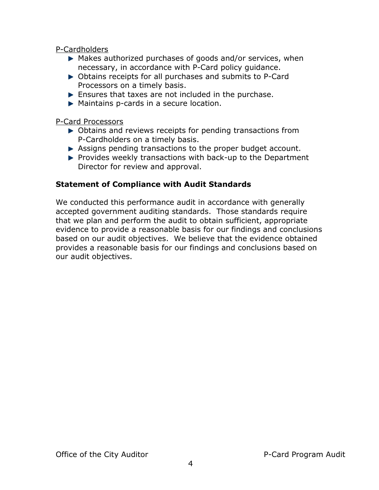P-Cardholders

- ▶ Makes authorized purchases of goods and/or services, when necessary, in accordance with P-Card policy guidance.
- ▶ Obtains receipts for all purchases and submits to P-Card Processors on a timely basis.
- **Ensures that taxes are not included in the purchase.**
- **Maintains p-cards in a secure location.**

P-Card Processors

- ▶ Obtains and reviews receipts for pending transactions from P-Cardholders on a timely basis.
- Assigns pending transactions to the proper budget account.
- $\blacktriangleright$  Provides weekly transactions with back-up to the Department Director for review and approval.

#### **Statement of Compliance with Audit Standards**

We conducted this performance audit in accordance with generally accepted government auditing standards. Those standards require that we plan and perform the audit to obtain sufficient, appropriate evidence to provide a reasonable basis for our findings and conclusions based on our audit objectives. We believe that the evidence obtained provides a reasonable basis for our findings and conclusions based on our audit objectives.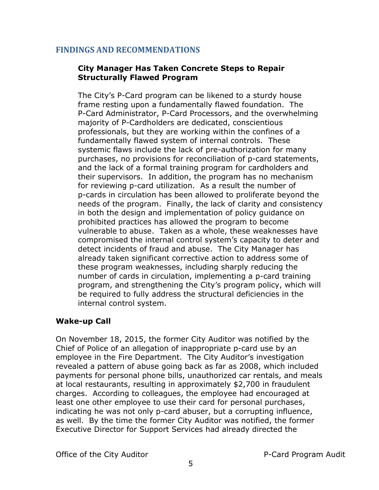#### <span id="page-7-0"></span>**FINDINGS AND RECOMMENDATIONS**

#### <span id="page-7-1"></span>**City Manager Has Taken Concrete Steps to Repair Structurally Flawed Program**

The City's P-Card program can be likened to a sturdy house frame resting upon a fundamentally flawed foundation. The P-Card Administrator, P-Card Processors, and the overwhelming majority of P-Cardholders are dedicated, conscientious professionals, but they are working within the confines of a fundamentally flawed system of internal controls. These systemic flaws include the lack of pre-authorization for many purchases, no provisions for reconciliation of p-card statements, and the lack of a formal training program for cardholders and their supervisors. In addition, the program has no mechanism for reviewing p-card utilization. As a result the number of p-cards in circulation has been allowed to proliferate beyond the needs of the program. Finally, the lack of clarity and consistency in both the design and implementation of policy guidance on prohibited practices has allowed the program to become vulnerable to abuse. Taken as a whole, these weaknesses have compromised the internal control system's capacity to deter and detect incidents of fraud and abuse. The City Manager has already taken significant corrective action to address some of these program weaknesses, including sharply reducing the number of cards in circulation, implementing a p-card training program, and strengthening the City's program policy, which will be required to fully address the structural deficiencies in the internal control system.

#### <span id="page-7-2"></span>**Wake-up Call**

On November 18, 2015, the former City Auditor was notified by the Chief of Police of an allegation of inappropriate p-card use by an employee in the Fire Department. The City Auditor's investigation revealed a pattern of abuse going back as far as 2008, which included payments for personal phone bills, unauthorized car rentals, and meals at local restaurants, resulting in approximately \$2,700 in fraudulent charges. According to colleagues, the employee had encouraged at least one other employee to use their card for personal purchases, indicating he was not only p-card abuser, but a corrupting influence, as well. By the time the former City Auditor was notified, the former Executive Director for Support Services had already directed the

Office of the City Auditor **P-Card Program Audit**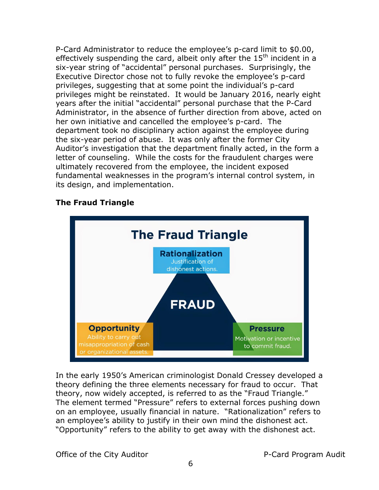P-Card Administrator to reduce the employee's p-card limit to \$0.00, effectively suspending the card, albeit only after the  $15<sup>th</sup>$  incident in a six-year string of "accidental" personal purchases. Surprisingly, the Executive Director chose not to fully revoke the employee's p-card privileges, suggesting that at some point the individual's p-card privileges might be reinstated. It would be January 2016, nearly eight years after the initial "accidental" personal purchase that the P-Card Administrator, in the absence of further direction from above, acted on her own initiative and cancelled the employee's p-card. The department took no disciplinary action against the employee during the six-year period of abuse. It was only after the former City Auditor's investigation that the department finally acted, in the form a letter of counseling. While the costs for the fraudulent charges were ultimately recovered from the employee, the incident exposed fundamental weaknesses in the program's internal control system, in its design, and implementation.



#### <span id="page-8-0"></span>**The Fraud Triangle**

In the early 1950's American criminologist Donald Cressey developed a theory defining the three elements necessary for fraud to occur. That theory, now widely accepted, is referred to as the "Fraud Triangle." The element termed "Pressure" refers to external forces pushing down on an employee, usually financial in nature. "Rationalization" refers to an employee's ability to justify in their own mind the dishonest act. "Opportunity" refers to the ability to get away with the dishonest act.

Office of the City Auditor **P-Card Program Audit**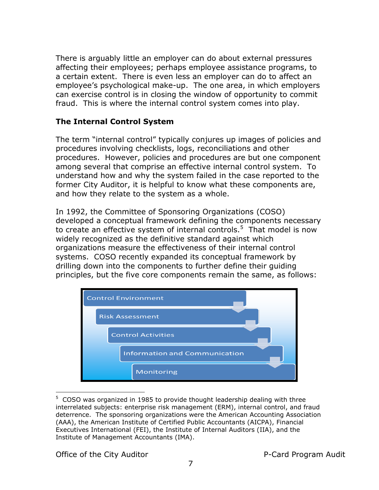There is arguably little an employer can do about external pressures affecting their employees; perhaps employee assistance programs, to a certain extent. There is even less an employer can do to affect an employee's psychological make-up. The one area, in which employers can exercise control is in closing the window of opportunity to commit fraud. This is where the internal control system comes into play.

#### <span id="page-9-0"></span>**The Internal Control System**

The term "internal control" typically conjures up images of policies and procedures involving checklists, logs, reconciliations and other procedures. However, policies and procedures are but one component among several that comprise an effective internal control system. To understand how and why the system failed in the case reported to the former City Auditor, it is helpful to know what these components are, and how they relate to the system as a whole.

In 1992, the Committee of Sponsoring Organizations (COSO) developed a conceptual framework defining the components necessary to create an effective system of internal controls.<sup>5</sup> That model is now widely recognized as the definitive standard against which organizations measure the effectiveness of their internal control systems. COSO recently expanded its conceptual framework by drilling down into the components to further define their guiding principles, but the five core components remain the same, as follows:



 $5$  COSO was organized in 1985 to provide thought leadership dealing with three interrelated subjects: enterprise risk management (ERM), internal control, and fraud deterrence. The sponsoring organizations were the American Accounting Association (AAA), the American Institute of Certified Public Accountants (AICPA), Financial Executives International (FEI), the Institute of Internal Auditors (IIA), and the Institute of Management Accountants (IMA).

Office of the City Auditor **P-Card Program Audit** 

 $\overline{a}$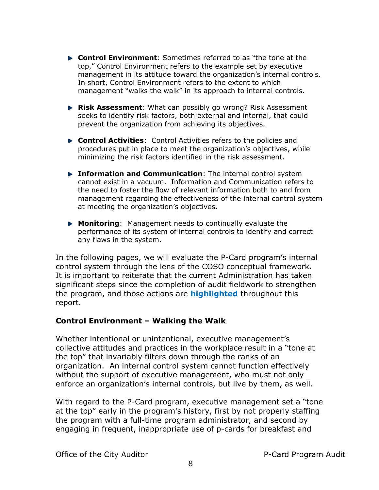- **Control Environment**: Sometimes referred to as "the tone at the top," Control Environment refers to the example set by executive management in its attitude toward the organization's internal controls. In short, Control Environment refers to the extent to which management "walks the walk" in its approach to internal controls.
- **Risk Assessment**: What can possibly go wrong? Risk Assessment seeks to identify risk factors, both external and internal, that could prevent the organization from achieving its objectives.
- **Control Activities**: Control Activities refers to the policies and procedures put in place to meet the organization's objectives, while minimizing the risk factors identified in the risk assessment.
- **Information and Communication**: The internal control system cannot exist in a vacuum. Information and Communication refers to the need to foster the flow of relevant information both to and from management regarding the effectiveness of the internal control system at meeting the organization's objectives.
- **Monitoring**: Management needs to continually evaluate the performance of its system of internal controls to identify and correct any flaws in the system.

In the following pages, we will evaluate the P-Card program's internal control system through the lens of the COSO conceptual framework. It is important to reiterate that the current Administration has taken significant steps since the completion of audit fieldwork to strengthen the program, and those actions are **highlighted** throughout this report.

#### <span id="page-10-0"></span>**Control Environment – Walking the Walk**

Whether intentional or unintentional, executive management's collective attitudes and practices in the workplace result in a "tone at the top" that invariably filters down through the ranks of an organization. An internal control system cannot function effectively without the support of executive management, who must not only enforce an organization's internal controls, but live by them, as well.

With regard to the P-Card program, executive management set a "tone at the top" early in the program's history, first by not properly staffing the program with a full-time program administrator, and second by engaging in frequent, inappropriate use of p-cards for breakfast and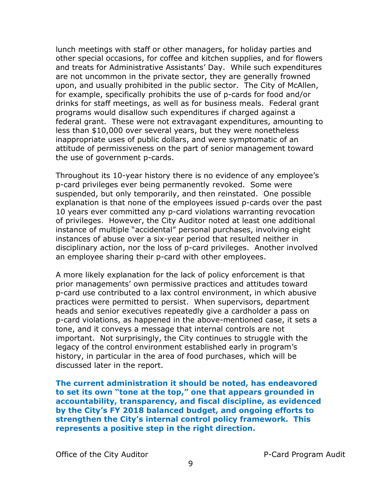lunch meetings with staff or other managers, for holiday parties and other special occasions, for coffee and kitchen supplies, and for flowers and treats for Administrative Assistants' Day. While such expenditures are not uncommon in the private sector, they are generally frowned upon, and usually prohibited in the public sector. The City of McAllen, for example, specifically prohibits the use of p-cards for food and/or drinks for staff meetings, as well as for business meals. Federal grant programs would disallow such expenditures if charged against a federal grant. These were not extravagant expenditures, amounting to less than \$10,000 over several years, but they were nonetheless inappropriate uses of public dollars, and were symptomatic of an attitude of permissiveness on the part of senior management toward the use of government p-cards.

Throughout its 10-year history there is no evidence of any employee's p-card privileges ever being permanently revoked. Some were suspended, but only temporarily, and then reinstated. One possible explanation is that none of the employees issued p-cards over the past 10 years ever committed any p-card violations warranting revocation of privileges. However, the City Auditor noted at least one additional instance of multiple "accidental" personal purchases, involving eight instances of abuse over a six-year period that resulted neither in disciplinary action, nor the loss of p-card privileges. Another involved an employee sharing their p-card with other employees.

A more likely explanation for the lack of policy enforcement is that prior managements' own permissive practices and attitudes toward p-card use contributed to a lax control environment, in which abusive practices were permitted to persist. When supervisors, department heads and senior executives repeatedly give a cardholder a pass on p-card violations, as happened in the above-mentioned case, it sets a tone, and it conveys a message that internal controls are not important. Not surprisingly, the City continues to struggle with the legacy of the control environment established early in program's history, in particular in the area of food purchases, which will be discussed later in the report.

**The current administration it should be noted, has endeavored to set its own "tone at the top," one that appears grounded in accountability, transparency, and fiscal discipline, as evidenced by the City's FY 2018 balanced budget, and ongoing efforts to strengthen the City's internal control policy framework. This represents a positive step in the right direction.**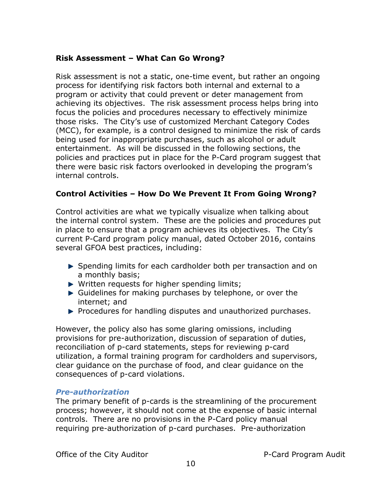#### <span id="page-12-0"></span>**Risk Assessment – What Can Go Wrong?**

Risk assessment is not a static, one-time event, but rather an ongoing process for identifying risk factors both internal and external to a program or activity that could prevent or deter management from achieving its objectives. The risk assessment process helps bring into focus the policies and procedures necessary to effectively minimize those risks. The City's use of customized Merchant Category Codes (MCC), for example, is a control designed to minimize the risk of cards being used for inappropriate purchases, such as alcohol or adult entertainment. As will be discussed in the following sections, the policies and practices put in place for the P-Card program suggest that there were basic risk factors overlooked in developing the program's internal controls.

#### <span id="page-12-1"></span>**Control Activities – How Do We Prevent It From Going Wrong?**

Control activities are what we typically visualize when talking about the internal control system. These are the policies and procedures put in place to ensure that a program achieves its objectives. The City's current P-Card program policy manual, dated October 2016, contains several GFOA best practices, including:

- Spending limits for each cardholder both per transaction and on a monthly basis;
- Written requests for higher spending limits;
- Guidelines for making purchases by telephone, or over the internet; and
- $\blacktriangleright$  Procedures for handling disputes and unauthorized purchases.

However, the policy also has some glaring omissions, including provisions for pre-authorization, discussion of separation of duties, reconciliation of p-card statements, steps for reviewing p-card utilization, a formal training program for cardholders and supervisors, clear guidance on the purchase of food, and clear guidance on the consequences of p-card violations.

#### *Pre-authorization*

The primary benefit of p-cards is the streamlining of the procurement process; however, it should not come at the expense of basic internal controls. There are no provisions in the P-Card policy manual requiring pre-authorization of p-card purchases. Pre-authorization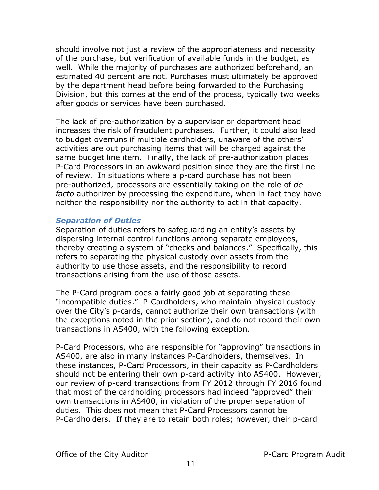should involve not just a review of the appropriateness and necessity of the purchase, but verification of available funds in the budget, as well. While the majority of purchases are authorized beforehand, an estimated 40 percent are not. Purchases must ultimately be approved by the department head before being forwarded to the Purchasing Division, but this comes at the end of the process, typically two weeks after goods or services have been purchased.

The lack of pre-authorization by a supervisor or department head increases the risk of fraudulent purchases. Further, it could also lead to budget overruns if multiple cardholders, unaware of the others' activities are out purchasing items that will be charged against the same budget line item. Finally, the lack of pre-authorization places P-Card Processors in an awkward position since they are the first line of review. In situations where a p-card purchase has not been pre-authorized, processors are essentially taking on the role of *de facto* authorizer by processing the expenditure, when in fact they have neither the responsibility nor the authority to act in that capacity.

#### *Separation of Duties*

Separation of duties refers to safeguarding an entity's assets by dispersing internal control functions among separate employees, thereby creating a system of "checks and balances." Specifically, this refers to separating the physical custody over assets from the authority to use those assets, and the responsibility to record transactions arising from the use of those assets.

The P-Card program does a fairly good job at separating these "incompatible duties." P-Cardholders, who maintain physical custody over the City's p-cards, cannot authorize their own transactions (with the exceptions noted in the prior section), and do not record their own transactions in AS400, with the following exception.

P-Card Processors, who are responsible for "approving" transactions in AS400, are also in many instances P-Cardholders, themselves. In these instances, P-Card Processors, in their capacity as P-Cardholders should not be entering their own p-card activity into AS400. However, our review of p-card transactions from FY 2012 through FY 2016 found that most of the cardholding processors had indeed "approved" their own transactions in AS400, in violation of the proper separation of duties. This does not mean that P-Card Processors cannot be P-Cardholders. If they are to retain both roles; however, their p-card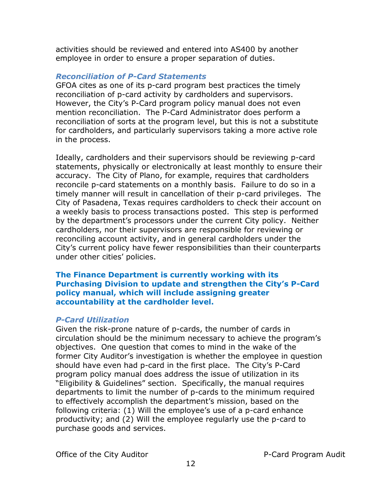activities should be reviewed and entered into AS400 by another employee in order to ensure a proper separation of duties.

#### *Reconciliation of P-Card Statements*

GFOA cites as one of its p-card program best practices the timely reconciliation of p-card activity by cardholders and supervisors. However, the City's P-Card program policy manual does not even mention reconciliation. The P-Card Administrator does perform a reconciliation of sorts at the program level, but this is not a substitute for cardholders, and particularly supervisors taking a more active role in the process.

Ideally, cardholders and their supervisors should be reviewing p-card statements, physically or electronically at least monthly to ensure their accuracy. The City of Plano, for example, requires that cardholders reconcile p-card statements on a monthly basis. Failure to do so in a timely manner will result in cancellation of their p-card privileges. The City of Pasadena, Texas requires cardholders to check their account on a weekly basis to process transactions posted. This step is performed by the department's processors under the current City policy. Neither cardholders, nor their supervisors are responsible for reviewing or reconciling account activity, and in general cardholders under the City's current policy have fewer responsibilities than their counterparts under other cities' policies.

#### **The Finance Department is currently working with its Purchasing Division to update and strengthen the City's P-Card policy manual, which will include assigning greater accountability at the cardholder level.**

#### *P-Card Utilization*

Given the risk-prone nature of p-cards, the number of cards in circulation should be the minimum necessary to achieve the program's objectives. One question that comes to mind in the wake of the former City Auditor's investigation is whether the employee in question should have even had p-card in the first place. The City's P-Card program policy manual does address the issue of utilization in its "Eligibility & Guidelines" section. Specifically, the manual requires departments to limit the number of p-cards to the minimum required to effectively accomplish the department's mission, based on the following criteria: (1) Will the employee's use of a p-card enhance productivity; and (2) Will the employee regularly use the p-card to purchase goods and services.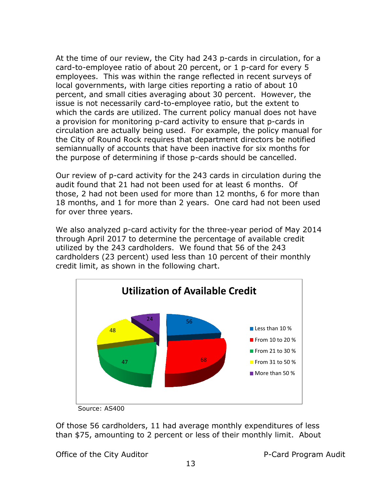At the time of our review, the City had 243 p-cards in circulation, for a card-to-employee ratio of about 20 percent, or 1 p-card for every 5 employees. This was within the range reflected in recent surveys of local governments, with large cities reporting a ratio of about 10 percent, and small cities averaging about 30 percent. However, the issue is not necessarily card-to-employee ratio, but the extent to which the cards are utilized. The current policy manual does not have a provision for monitoring p-card activity to ensure that p-cards in circulation are actually being used. For example, the policy manual for the City of Round Rock requires that department directors be notified semiannually of accounts that have been inactive for six months for the purpose of determining if those p-cards should be cancelled.

Our review of p-card activity for the 243 cards in circulation during the audit found that 21 had not been used for at least 6 months. Of those, 2 had not been used for more than 12 months, 6 for more than 18 months, and 1 for more than 2 years. One card had not been used for over three years.

We also analyzed p-card activity for the three-year period of May 2014 through April 2017 to determine the percentage of available credit utilized by the 243 cardholders. We found that 56 of the 243 cardholders (23 percent) used less than 10 percent of their monthly credit limit, as shown in the following chart.



Source: AS400

Of those 56 cardholders, 11 had average monthly expenditures of less than \$75, amounting to 2 percent or less of their monthly limit. About

Office of the City Auditor **P-Card Program Audit**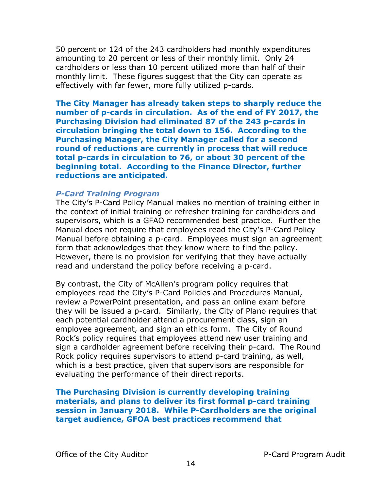50 percent or 124 of the 243 cardholders had monthly expenditures amounting to 20 percent or less of their monthly limit. Only 24 cardholders or less than 10 percent utilized more than half of their monthly limit. These figures suggest that the City can operate as effectively with far fewer, more fully utilized p-cards.

**The City Manager has already taken steps to sharply reduce the number of p-cards in circulation. As of the end of FY 2017, the Purchasing Division had eliminated 87 of the 243 p-cards in circulation bringing the total down to 156. According to the Purchasing Manager, the City Manager called for a second round of reductions are currently in process that will reduce total p-cards in circulation to 76, or about 30 percent of the beginning total. According to the Finance Director, further reductions are anticipated.**

#### *P-Card Training Program*

The City's P-Card Policy Manual makes no mention of training either in the context of initial training or refresher training for cardholders and supervisors, which is a GFAO recommended best practice. Further the Manual does not require that employees read the City's P-Card Policy Manual before obtaining a p-card. Employees must sign an agreement form that acknowledges that they know where to find the policy. However, there is no provision for verifying that they have actually read and understand the policy before receiving a p-card.

By contrast, the City of McAllen's program policy requires that employees read the City's P-Card Policies and Procedures Manual, review a PowerPoint presentation, and pass an online exam before they will be issued a p-card. Similarly, the City of Plano requires that each potential cardholder attend a procurement class, sign an employee agreement, and sign an ethics form. The City of Round Rock's policy requires that employees attend new user training and sign a cardholder agreement before receiving their p-card. The Round Rock policy requires supervisors to attend p-card training, as well, which is a best practice, given that supervisors are responsible for evaluating the performance of their direct reports.

**The Purchasing Division is currently developing training materials, and plans to deliver its first formal p-card training session in January 2018. While P-Cardholders are the original target audience, GFOA best practices recommend that**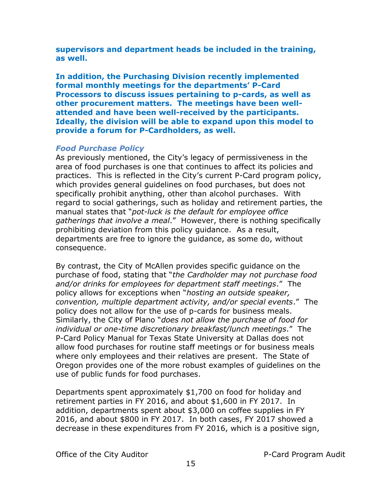**supervisors and department heads be included in the training, as well.**

**In addition, the Purchasing Division recently implemented formal monthly meetings for the departments' P-Card Processors to discuss issues pertaining to p-cards, as well as other procurement matters. The meetings have been wellattended and have been well-received by the participants. Ideally, the division will be able to expand upon this model to provide a forum for P-Cardholders, as well.** 

#### *Food Purchase Policy*

As previously mentioned, the City's legacy of permissiveness in the area of food purchases is one that continues to affect its policies and practices. This is reflected in the City's current P-Card program policy, which provides general guidelines on food purchases, but does not specifically prohibit anything, other than alcohol purchases. With regard to social gatherings, such as holiday and retirement parties, the manual states that "*pot-luck is the default for employee office gatherings that involve a meal*." However, there is nothing specifically prohibiting deviation from this policy guidance. As a result, departments are free to ignore the guidance, as some do, without consequence.

By contrast, the City of McAllen provides specific guidance on the purchase of food, stating that "*the Cardholder may not purchase food and/or drinks for employees for department staff meetings*." The policy allows for exceptions when "*hosting an outside speaker, convention, multiple department activity, and/or special events*." The policy does not allow for the use of p-cards for business meals. Similarly, the City of Plano "*does not allow the purchase of food for individual or one-time discretionary breakfast/lunch meetings*." The P-Card Policy Manual for Texas State University at Dallas does not allow food purchases for routine staff meetings or for business meals where only employees and their relatives are present. The State of Oregon provides one of the more robust examples of guidelines on the use of public funds for food purchases.

Departments spent approximately \$1,700 on food for holiday and retirement parties in FY 2016, and about \$1,600 in FY 2017. In addition, departments spent about \$3,000 on coffee supplies in FY 2016, and about \$800 in FY 2017. In both cases, FY 2017 showed a decrease in these expenditures from FY 2016, which is a positive sign,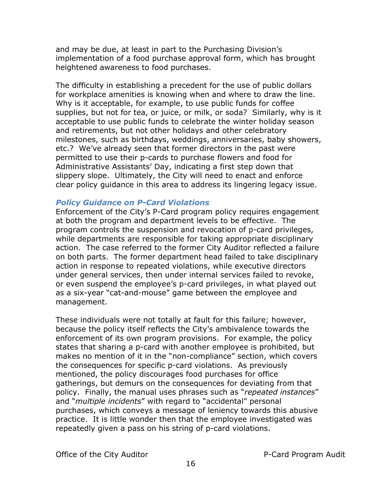and may be due, at least in part to the Purchasing Division's implementation of a food purchase approval form, which has brought heightened awareness to food purchases.

The difficulty in establishing a precedent for the use of public dollars for workplace amenities is knowing when and where to draw the line. Why is it acceptable, for example, to use public funds for coffee supplies, but not for tea, or juice, or milk, or soda? Similarly, why is it acceptable to use public funds to celebrate the winter holiday season and retirements, but not other holidays and other celebratory milestones, such as birthdays, weddings, anniversaries, baby showers, etc.? We've already seen that former directors in the past were permitted to use their p-cards to purchase flowers and food for Administrative Assistants' Day, indicating a first step down that slippery slope. Ultimately, the City will need to enact and enforce clear policy guidance in this area to address its lingering legacy issue.

#### *Policy Guidance on P-Card Violations*

Enforcement of the City's P-Card program policy requires engagement at both the program and department levels to be effective. The program controls the suspension and revocation of p-card privileges, while departments are responsible for taking appropriate disciplinary action. The case referred to the former City Auditor reflected a failure on both parts. The former department head failed to take disciplinary action in response to repeated violations, while executive directors under general services, then under internal services failed to revoke, or even suspend the employee's p-card privileges, in what played out as a six-year "cat-and-mouse" game between the employee and management.

These individuals were not totally at fault for this failure; however, because the policy itself reflects the City's ambivalence towards the enforcement of its own program provisions. For example, the policy states that sharing a p-card with another employee is prohibited, but makes no mention of it in the "non-compliance" section, which covers the consequences for specific p-card violations. As previously mentioned, the policy discourages food purchases for office gatherings, but demurs on the consequences for deviating from that policy. Finally, the manual uses phrases such as "*repeated instances*" and "*multiple incidents*" with regard to "accidental" personal purchases, which conveys a message of leniency towards this abusive practice. It is little wonder then that the employee investigated was repeatedly given a pass on his string of p-card violations.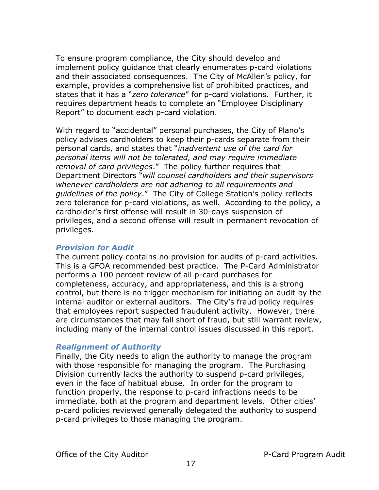To ensure program compliance, the City should develop and implement policy guidance that clearly enumerates p-card violations and their associated consequences. The City of McAllen's policy, for example, provides a comprehensive list of prohibited practices, and states that it has a "*zero tolerance*" for p-card violations. Further, it requires department heads to complete an "Employee Disciplinary Report" to document each p-card violation.

With regard to "accidental" personal purchases, the City of Plano's policy advises cardholders to keep their p-cards separate from their personal cards, and states that "*inadvertent use of the card for personal items will not be tolerated, and may require immediate removal of card privileges*." The policy further requires that Department Directors "*will counsel cardholders and their supervisors whenever cardholders are not adhering to all requirements and guidelines of the policy*." The City of College Station's policy reflects zero tolerance for p-card violations, as well. According to the policy, a cardholder's first offense will result in 30-days suspension of privileges, and a second offense will result in permanent revocation of privileges.

#### *Provision for Audit*

The current policy contains no provision for audits of p-card activities. This is a GFOA recommended best practice. The P-Card Administrator performs a 100 percent review of all p-card purchases for completeness, accuracy, and appropriateness, and this is a strong control, but there is no trigger mechanism for initiating an audit by the internal auditor or external auditors. The City's fraud policy requires that employees report suspected fraudulent activity. However, there are circumstances that may fall short of fraud, but still warrant review, including many of the internal control issues discussed in this report.

#### *Realignment of Authority*

Finally, the City needs to align the authority to manage the program with those responsible for managing the program. The Purchasing Division currently lacks the authority to suspend p-card privileges, even in the face of habitual abuse. In order for the program to function properly, the response to p-card infractions needs to be immediate, both at the program and department levels. Other cities' p-card policies reviewed generally delegated the authority to suspend p-card privileges to those managing the program.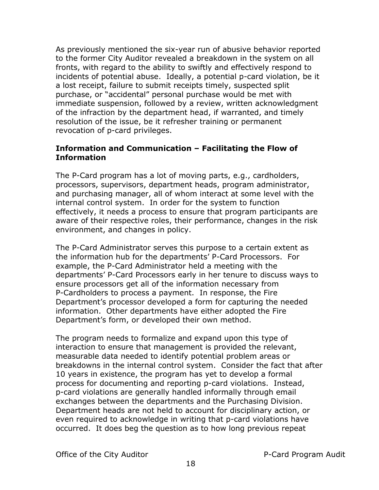As previously mentioned the six-year run of abusive behavior reported to the former City Auditor revealed a breakdown in the system on all fronts, with regard to the ability to swiftly and effectively respond to incidents of potential abuse. Ideally, a potential p-card violation, be it a lost receipt, failure to submit receipts timely, suspected split purchase, or "accidental" personal purchase would be met with immediate suspension, followed by a review, written acknowledgment of the infraction by the department head, if warranted, and timely resolution of the issue, be it refresher training or permanent revocation of p-card privileges.

#### <span id="page-20-0"></span>**Information and Communication – Facilitating the Flow of Information**

The P-Card program has a lot of moving parts, e.g., cardholders, processors, supervisors, department heads, program administrator, and purchasing manager, all of whom interact at some level with the internal control system. In order for the system to function effectively, it needs a process to ensure that program participants are aware of their respective roles, their performance, changes in the risk environment, and changes in policy.

The P-Card Administrator serves this purpose to a certain extent as the information hub for the departments' P-Card Processors. For example, the P-Card Administrator held a meeting with the departments' P-Card Processors early in her tenure to discuss ways to ensure processors get all of the information necessary from P-Cardholders to process a payment. In response, the Fire Department's processor developed a form for capturing the needed information. Other departments have either adopted the Fire Department's form, or developed their own method.

The program needs to formalize and expand upon this type of interaction to ensure that management is provided the relevant, measurable data needed to identify potential problem areas or breakdowns in the internal control system. Consider the fact that after 10 years in existence, the program has yet to develop a formal process for documenting and reporting p-card violations. Instead, p-card violations are generally handled informally through email exchanges between the departments and the Purchasing Division. Department heads are not held to account for disciplinary action, or even required to acknowledge in writing that p-card violations have occurred. It does beg the question as to how long previous repeat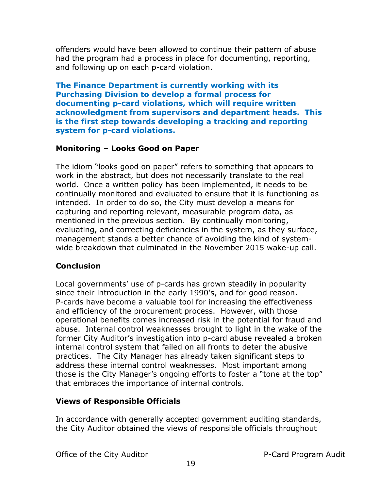offenders would have been allowed to continue their pattern of abuse had the program had a process in place for documenting, reporting, and following up on each p-card violation.

**The Finance Department is currently working with its Purchasing Division to develop a formal process for documenting p-card violations, which will require written acknowledgment from supervisors and department heads. This is the first step towards developing a tracking and reporting system for p-card violations.**

#### <span id="page-21-0"></span>**Monitoring – Looks Good on Paper**

The idiom "looks good on paper" refers to something that appears to work in the abstract, but does not necessarily translate to the real world. Once a written policy has been implemented, it needs to be continually monitored and evaluated to ensure that it is functioning as intended. In order to do so, the City must develop a means for capturing and reporting relevant, measurable program data, as mentioned in the previous section. By continually monitoring, evaluating, and correcting deficiencies in the system, as they surface, management stands a better chance of avoiding the kind of systemwide breakdown that culminated in the November 2015 wake-up call.

#### <span id="page-21-1"></span>**Conclusion**

Local governments' use of p-cards has grown steadily in popularity since their introduction in the early 1990's, and for good reason. P-cards have become a valuable tool for increasing the effectiveness and efficiency of the procurement process. However, with those operational benefits comes increased risk in the potential for fraud and abuse. Internal control weaknesses brought to light in the wake of the former City Auditor's investigation into p-card abuse revealed a broken internal control system that failed on all fronts to deter the abusive practices. The City Manager has already taken significant steps to address these internal control weaknesses. Most important among those is the City Manager's ongoing efforts to foster a "tone at the top" that embraces the importance of internal controls.

#### **Views of Responsible Officials**

In accordance with generally accepted government auditing standards, the City Auditor obtained the views of responsible officials throughout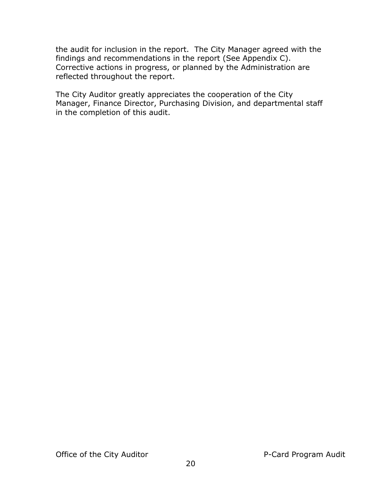the audit for inclusion in the report. The City Manager agreed with the findings and recommendations in the report (See Appendix C). Corrective actions in progress, or planned by the Administration are reflected throughout the report.

The City Auditor greatly appreciates the cooperation of the City Manager, Finance Director, Purchasing Division, and departmental staff in the completion of this audit.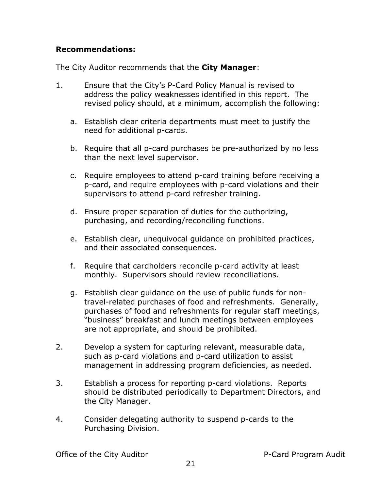#### <span id="page-23-0"></span>**Recommendations:**

The City Auditor recommends that the **City Manager**:

- 1. Ensure that the City's P-Card Policy Manual is revised to address the policy weaknesses identified in this report. The revised policy should, at a minimum, accomplish the following:
	- a. Establish clear criteria departments must meet to justify the need for additional p-cards.
	- b. Require that all p-card purchases be pre-authorized by no less than the next level supervisor.
	- c. Require employees to attend p-card training before receiving a p-card, and require employees with p-card violations and their supervisors to attend p-card refresher training.
	- d. Ensure proper separation of duties for the authorizing, purchasing, and recording/reconciling functions.
	- e. Establish clear, unequivocal guidance on prohibited practices, and their associated consequences.
	- f. Require that cardholders reconcile p-card activity at least monthly. Supervisors should review reconciliations.
	- g. Establish clear guidance on the use of public funds for nontravel-related purchases of food and refreshments. Generally, purchases of food and refreshments for regular staff meetings, "business" breakfast and lunch meetings between employees are not appropriate, and should be prohibited.
- 2. Develop a system for capturing relevant, measurable data, such as p-card violations and p-card utilization to assist management in addressing program deficiencies, as needed.
- 3. Establish a process for reporting p-card violations. Reports should be distributed periodically to Department Directors, and the City Manager.
- 4. Consider delegating authority to suspend p-cards to the Purchasing Division.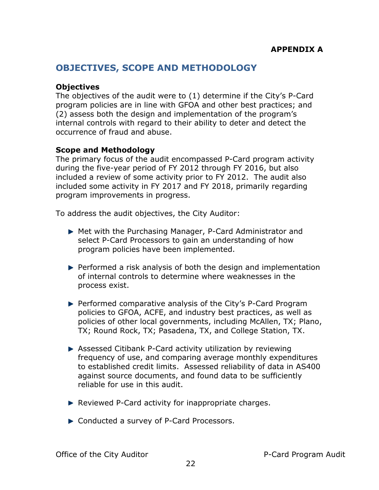### <span id="page-24-0"></span>**OBJECTIVES, SCOPE AND METHODOLOGY**

#### <span id="page-24-1"></span>**Objectives**

The objectives of the audit were to (1) determine if the City's P-Card program policies are in line with GFOA and other best practices; and (2) assess both the design and implementation of the program's internal controls with regard to their ability to deter and detect the occurrence of fraud and abuse.

#### <span id="page-24-2"></span>**Scope and Methodology**

The primary focus of the audit encompassed P-Card program activity during the five-year period of FY 2012 through FY 2016, but also included a review of some activity prior to FY 2012. The audit also included some activity in FY 2017 and FY 2018, primarily regarding program improvements in progress.

To address the audit objectives, the City Auditor:

- Met with the Purchasing Manager, P-Card Administrator and select P-Card Processors to gain an understanding of how program policies have been implemented.
- $\blacktriangleright$  Performed a risk analysis of both the design and implementation of internal controls to determine where weaknesses in the process exist.
- Performed comparative analysis of the City's P-Card Program policies to GFOA, ACFE, and industry best practices, as well as policies of other local governments, including McAllen, TX; Plano, TX; Round Rock, TX; Pasadena, TX, and College Station, TX.
- Assessed Citibank P-Card activity utilization by reviewing frequency of use, and comparing average monthly expenditures to established credit limits. Assessed reliability of data in AS400 against source documents, and found data to be sufficiently reliable for use in this audit.
- Reviewed P-Card activity for inappropriate charges.
- ► Conducted a survey of P-Card Processors.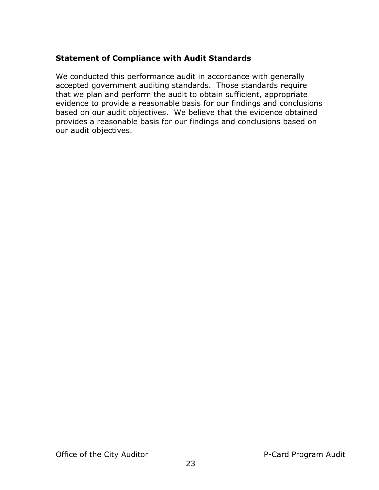#### <span id="page-25-0"></span>**Statement of Compliance with Audit Standards**

We conducted this performance audit in accordance with generally accepted government auditing standards. Those standards require that we plan and perform the audit to obtain sufficient, appropriate evidence to provide a reasonable basis for our findings and conclusions based on our audit objectives. We believe that the evidence obtained provides a reasonable basis for our findings and conclusions based on our audit objectives.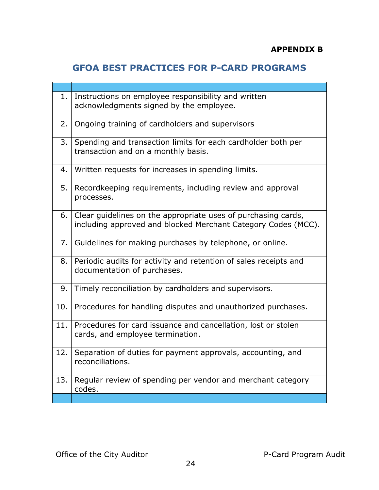# <span id="page-26-0"></span>**GFOA BEST PRACTICES FOR P-CARD PROGRAMS**

| 1.  | Instructions on employee responsibility and written<br>acknowledgments signed by the employee.                                 |
|-----|--------------------------------------------------------------------------------------------------------------------------------|
| 2.  | Ongoing training of cardholders and supervisors                                                                                |
| 3.  | Spending and transaction limits for each cardholder both per<br>transaction and on a monthly basis.                            |
| 4.  | Written requests for increases in spending limits.                                                                             |
| 5.  | Recordkeeping requirements, including review and approval<br>processes.                                                        |
| 6.  | Clear guidelines on the appropriate uses of purchasing cards,<br>including approved and blocked Merchant Category Codes (MCC). |
| 7.  | Guidelines for making purchases by telephone, or online.                                                                       |
| 8.  | Periodic audits for activity and retention of sales receipts and<br>documentation of purchases.                                |
| 9.  | Timely reconciliation by cardholders and supervisors.                                                                          |
| 10. | Procedures for handling disputes and unauthorized purchases.                                                                   |
| 11. | Procedures for card issuance and cancellation, lost or stolen<br>cards, and employee termination.                              |
| 12. | Separation of duties for payment approvals, accounting, and<br>reconciliations.                                                |
| 13. | Regular review of spending per vendor and merchant category<br>codes.                                                          |
|     |                                                                                                                                |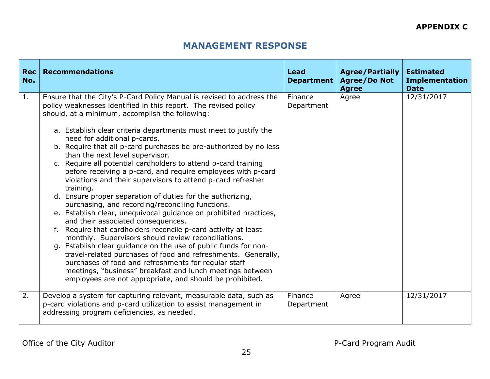### **MANAGEMENT RESPONSE**

<span id="page-27-0"></span>

| Rec<br>No. | <b>Recommendations</b>                                                                                                                                                                                                                                                                                                                                                                                                                                                                                                                                                                                                                                                                                                                                                                                                                                                                                                                                                                                                                                                                                                                                                                                                                                                                        | <b>Lead</b><br><b>Department</b> | <b>Agree/Partially</b><br><b>Agree/Do Not</b><br><b>Agree</b> | <b>Estimated</b><br><b>Implementation</b><br><b>Date</b> |
|------------|-----------------------------------------------------------------------------------------------------------------------------------------------------------------------------------------------------------------------------------------------------------------------------------------------------------------------------------------------------------------------------------------------------------------------------------------------------------------------------------------------------------------------------------------------------------------------------------------------------------------------------------------------------------------------------------------------------------------------------------------------------------------------------------------------------------------------------------------------------------------------------------------------------------------------------------------------------------------------------------------------------------------------------------------------------------------------------------------------------------------------------------------------------------------------------------------------------------------------------------------------------------------------------------------------|----------------------------------|---------------------------------------------------------------|----------------------------------------------------------|
| 1.         | Ensure that the City's P-Card Policy Manual is revised to address the<br>policy weaknesses identified in this report. The revised policy<br>should, at a minimum, accomplish the following:<br>a. Establish clear criteria departments must meet to justify the<br>need for additional p-cards.<br>b. Require that all p-card purchases be pre-authorized by no less<br>than the next level supervisor.<br>c. Require all potential cardholders to attend p-card training<br>before receiving a p-card, and require employees with p-card<br>violations and their supervisors to attend p-card refresher<br>training.<br>d. Ensure proper separation of duties for the authorizing,<br>purchasing, and recording/reconciling functions.<br>e. Establish clear, unequivocal guidance on prohibited practices,<br>and their associated consequences.<br>Require that cardholders reconcile p-card activity at least<br>monthly. Supervisors should review reconciliations.<br>g. Establish clear guidance on the use of public funds for non-<br>travel-related purchases of food and refreshments. Generally,<br>purchases of food and refreshments for regular staff<br>meetings, "business" breakfast and lunch meetings between<br>employees are not appropriate, and should be prohibited. | Finance<br>Department            | Agree                                                         | 12/31/2017                                               |
| 2.         | Develop a system for capturing relevant, measurable data, such as<br>p-card violations and p-card utilization to assist management in<br>addressing program deficiencies, as needed.                                                                                                                                                                                                                                                                                                                                                                                                                                                                                                                                                                                                                                                                                                                                                                                                                                                                                                                                                                                                                                                                                                          | Finance<br>Department            | Agree                                                         | 12/31/2017                                               |